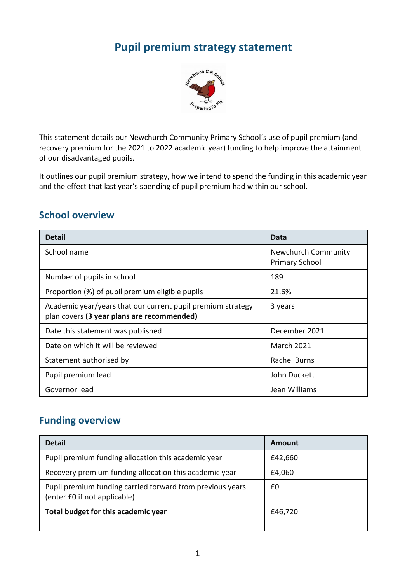# **Pupil premium strategy statement**



This statement details our Newchurch Community Primary School's use of pupil premium (and recovery premium for the 2021 to 2022 academic year) funding to help improve the attainment of our disadvantaged pupils.

It outlines our pupil premium strategy, how we intend to spend the funding in this academic year and the effect that last year's spending of pupil premium had within our school.

### **School overview**

| <b>Detail</b>                                                                                             | Data                                                |
|-----------------------------------------------------------------------------------------------------------|-----------------------------------------------------|
| School name                                                                                               | <b>Newchurch Community</b><br><b>Primary School</b> |
| Number of pupils in school                                                                                | 189                                                 |
| Proportion (%) of pupil premium eligible pupils                                                           | 21.6%                                               |
| Academic year/years that our current pupil premium strategy<br>plan covers (3 year plans are recommended) | 3 years                                             |
| Date this statement was published                                                                         | December 2021                                       |
| Date on which it will be reviewed                                                                         | <b>March 2021</b>                                   |
| Statement authorised by                                                                                   | <b>Rachel Burns</b>                                 |
| Pupil premium lead                                                                                        | John Duckett                                        |
| Governor lead                                                                                             | Jean Williams                                       |

### **Funding overview**

| <b>Detail</b>                                                                             | Amount  |
|-------------------------------------------------------------------------------------------|---------|
| Pupil premium funding allocation this academic year                                       | £42,660 |
| Recovery premium funding allocation this academic year                                    | £4,060  |
| Pupil premium funding carried forward from previous years<br>(enter £0 if not applicable) | £0      |
| Total budget for this academic year                                                       | £46,720 |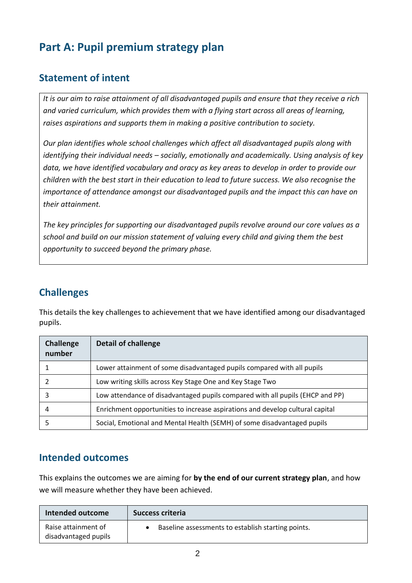# **Part A: Pupil premium strategy plan**

## **Statement of intent**

*It is our aim to raise attainment of all disadvantaged pupils and ensure that they receive a rich and varied curriculum, which provides them with a flying start across all areas of learning, raises aspirations and supports them in making a positive contribution to society.*

*Our plan identifies whole school challenges which affect all disadvantaged pupils along with identifying their individual needs – socially, emotionally and academically. Using analysis of key data, we have identified vocabulary and oracy as key areas to develop in order to provide our children with the best start in their education to lead to future success. We also recognise the importance of attendance amongst our disadvantaged pupils and the impact this can have on their attainment.*

*The key principles for supporting our disadvantaged pupils revolve around our core values as a school and build on our mission statement of valuing every child and giving them the best opportunity to succeed beyond the primary phase.* 

## **Challenges**

This details the key challenges to achievement that we have identified among our disadvantaged pupils.

| Challenge<br>number | <b>Detail of challenge</b>                                                    |
|---------------------|-------------------------------------------------------------------------------|
|                     | Lower attainment of some disadvantaged pupils compared with all pupils        |
|                     | Low writing skills across Key Stage One and Key Stage Two                     |
| 3                   | Low attendance of disadvantaged pupils compared with all pupils (EHCP and PP) |
|                     | Enrichment opportunities to increase aspirations and develop cultural capital |
|                     | Social, Emotional and Mental Health (SEMH) of some disadvantaged pupils       |

### **Intended outcomes**

This explains the outcomes we are aiming for **by the end of our current strategy plan**, and how we will measure whether they have been achieved.

| Intended outcome                            | Success criteria                                   |  |
|---------------------------------------------|----------------------------------------------------|--|
| Raise attainment of<br>disadvantaged pupils | Baseline assessments to establish starting points. |  |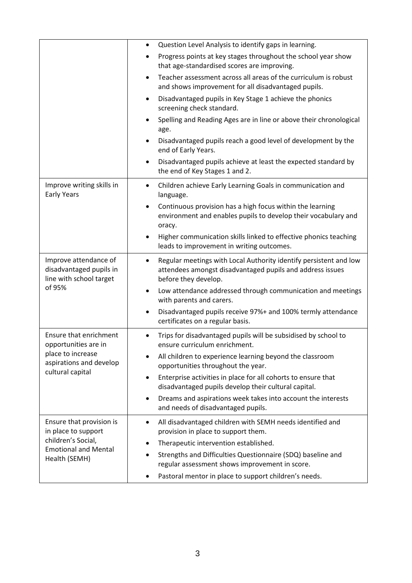|                                                                             | $\bullet$ | Question Level Analysis to identify gaps in learning.                                                                                                  |
|-----------------------------------------------------------------------------|-----------|--------------------------------------------------------------------------------------------------------------------------------------------------------|
|                                                                             |           | Progress points at key stages throughout the school year show<br>that age-standardised scores are improving.                                           |
|                                                                             | $\bullet$ | Teacher assessment across all areas of the curriculum is robust<br>and shows improvement for all disadvantaged pupils.                                 |
|                                                                             | $\bullet$ | Disadvantaged pupils in Key Stage 1 achieve the phonics<br>screening check standard.                                                                   |
|                                                                             | $\bullet$ | Spelling and Reading Ages are in line or above their chronological<br>age.                                                                             |
|                                                                             | $\bullet$ | Disadvantaged pupils reach a good level of development by the<br>end of Early Years.                                                                   |
|                                                                             | $\bullet$ | Disadvantaged pupils achieve at least the expected standard by<br>the end of Key Stages 1 and 2.                                                       |
| Improve writing skills in<br><b>Early Years</b>                             | $\bullet$ | Children achieve Early Learning Goals in communication and<br>language.                                                                                |
|                                                                             | $\bullet$ | Continuous provision has a high focus within the learning<br>environment and enables pupils to develop their vocabulary and<br>oracy.                  |
|                                                                             | $\bullet$ | Higher communication skills linked to effective phonics teaching<br>leads to improvement in writing outcomes.                                          |
| Improve attendance of<br>disadvantaged pupils in<br>line with school target | $\bullet$ | Regular meetings with Local Authority identify persistent and low<br>attendees amongst disadvantaged pupils and address issues<br>before they develop. |
| of 95%                                                                      | $\bullet$ | Low attendance addressed through communication and meetings<br>with parents and carers.                                                                |
|                                                                             | $\bullet$ | Disadvantaged pupils receive 97%+ and 100% termly attendance<br>certificates on a regular basis.                                                       |
| Ensure that enrichment<br>opportunities are in                              |           | Trips for disadvantaged pupils will be subsidised by school to<br>ensure curriculum enrichment.                                                        |
| place to increase<br>aspirations and develop                                |           | All children to experience learning beyond the classroom<br>opportunities throughout the year.                                                         |
| cultural capital                                                            | $\bullet$ | Enterprise activities in place for all cohorts to ensure that<br>disadvantaged pupils develop their cultural capital.                                  |
|                                                                             | $\bullet$ | Dreams and aspirations week takes into account the interests<br>and needs of disadvantaged pupils.                                                     |
| Ensure that provision is<br>in place to support                             | $\bullet$ | All disadvantaged children with SEMH needs identified and<br>provision in place to support them.                                                       |
| children's Social,                                                          | $\bullet$ | Therapeutic intervention established.                                                                                                                  |
| <b>Emotional and Mental</b><br>Health (SEMH)                                | $\bullet$ | Strengths and Difficulties Questionnaire (SDQ) baseline and<br>regular assessment shows improvement in score.                                          |
|                                                                             |           | Pastoral mentor in place to support children's needs.                                                                                                  |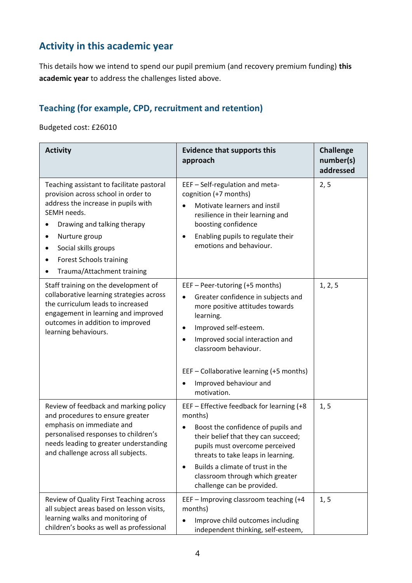## **Activity in this academic year**

This details how we intend to spend our pupil premium (and recovery premium funding) **this academic year** to address the challenges listed above.

### **Teaching (for example, CPD, recruitment and retention)**

#### Budgeted cost: £26010

| <b>Activity</b>                                                                                                                                                                                                                                                                             | <b>Evidence that supports this</b><br>approach                                                                                                                                                                                                                                                                              | <b>Challenge</b><br>number(s)<br>addressed |
|---------------------------------------------------------------------------------------------------------------------------------------------------------------------------------------------------------------------------------------------------------------------------------------------|-----------------------------------------------------------------------------------------------------------------------------------------------------------------------------------------------------------------------------------------------------------------------------------------------------------------------------|--------------------------------------------|
| Teaching assistant to facilitate pastoral<br>provision across school in order to<br>address the increase in pupils with<br>SEMH needs.<br>Drawing and talking therapy<br>Nurture group<br>$\bullet$<br>Social skills groups<br><b>Forest Schools training</b><br>Trauma/Attachment training | EEF - Self-regulation and meta-<br>cognition (+7 months)<br>Motivate learners and instil<br>resilience in their learning and<br>boosting confidence<br>Enabling pupils to regulate their<br>$\bullet$<br>emotions and behaviour.                                                                                            | 2, 5                                       |
| Staff training on the development of<br>collaborative learning strategies across<br>the curriculum leads to increased<br>engagement in learning and improved<br>outcomes in addition to improved<br>learning behaviours.                                                                    | EEF - Peer-tutoring (+5 months)<br>Greater confidence in subjects and<br>more positive attitudes towards<br>learning.<br>Improved self-esteem.<br>$\bullet$<br>Improved social interaction and<br>classroom behaviour.<br>EEF - Collaborative learning (+5 months)<br>Improved behaviour and<br>motivation.                 | 1, 2, 5                                    |
| Review of feedback and marking policy<br>and procedures to ensure greater<br>emphasis on immediate and<br>personalised responses to children's<br>needs leading to greater understanding<br>and challenge across all subjects.                                                              | EEF - Effective feedback for learning (+8<br>months)<br>Boost the confidence of pupils and<br>$\bullet$<br>their belief that they can succeed;<br>pupils must overcome perceived<br>threats to take leaps in learning.<br>Builds a climate of trust in the<br>classroom through which greater<br>challenge can be provided. | 1, 5                                       |
| Review of Quality First Teaching across<br>all subject areas based on lesson visits,<br>learning walks and monitoring of<br>children's books as well as professional                                                                                                                        | EEF - Improving classroom teaching (+4<br>months)<br>Improve child outcomes including<br>independent thinking, self-esteem,                                                                                                                                                                                                 | 1, 5                                       |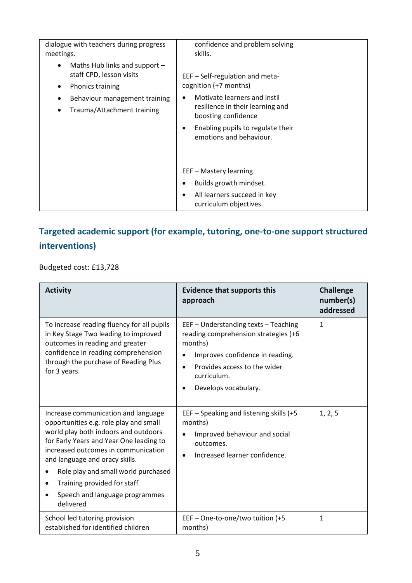| dialogue with teachers during progress<br>meetings.                                                                                                                                          | confidence and problem solving<br>skills.                                                                                                                                                                           |
|----------------------------------------------------------------------------------------------------------------------------------------------------------------------------------------------|---------------------------------------------------------------------------------------------------------------------------------------------------------------------------------------------------------------------|
| Maths Hub links and support $-$<br>$\bullet$<br>staff CPD, lesson visits<br><b>Phonics training</b><br>$\bullet$<br>Behaviour management training<br>Trauma/Attachment training<br>$\bullet$ | EEF - Self-regulation and meta-<br>cognition (+7 months)<br>Motivate learners and instil<br>resilience in their learning and<br>boosting confidence<br>Enabling pupils to regulate their<br>emotions and behaviour. |
|                                                                                                                                                                                              | EEF - Mastery learning<br>Builds growth mindset.<br>All learners succeed in key<br>curriculum objectives.                                                                                                           |

## **Targeted academic support (for example, tutoring, one-to-one support structured interventions)**

Budgeted cost: £13,728

| <b>Activity</b>                                                                                                                                                                                                                                                                                                                                                | <b>Evidence that supports this</b><br>approach                                                                                                                                                    | <b>Challenge</b><br>number(s)<br>addressed |
|----------------------------------------------------------------------------------------------------------------------------------------------------------------------------------------------------------------------------------------------------------------------------------------------------------------------------------------------------------------|---------------------------------------------------------------------------------------------------------------------------------------------------------------------------------------------------|--------------------------------------------|
| To increase reading fluency for all pupils<br>in Key Stage Two leading to improved<br>outcomes in reading and greater<br>confidence in reading comprehension<br>through the purchase of Reading Plus<br>for 3 years.                                                                                                                                           | EEF - Understanding texts - Teaching<br>reading comprehension strategies (+6<br>months)<br>Improves confidence in reading.<br>Provides access to the wider<br>curriculum.<br>Develops vocabulary. | $\mathbf{1}$                               |
| Increase communication and language<br>opportunities e.g. role play and small<br>world play both indoors and outdoors<br>for Early Years and Year One leading to<br>increased outcomes in communication<br>and language and oracy skills.<br>Role play and small world purchased<br>Training provided for staff<br>Speech and language programmes<br>delivered | EEF – Speaking and listening skills (+5<br>months)<br>Improved behaviour and social<br>outcomes.<br>Increased learner confidence.                                                                 | 1, 2, 5                                    |
| School led tutoring provision<br>established for identified children                                                                                                                                                                                                                                                                                           | EEF - One-to-one/two tuition (+5<br>months)                                                                                                                                                       | 1                                          |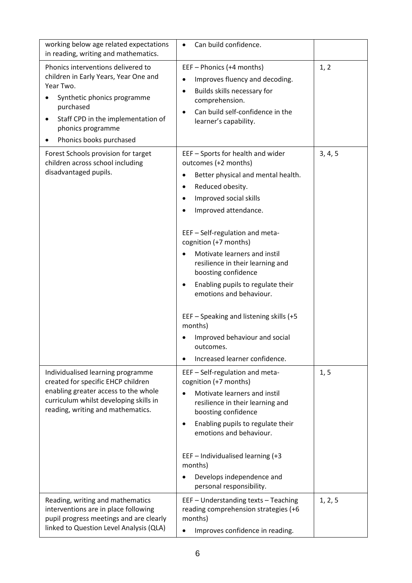| working below age related expectations<br>in reading, writing and mathematics.                                                                                                                                             | Can build confidence.                                                                                                                                                                                                                                                                                                                                                                                                                                                                                                                               |         |
|----------------------------------------------------------------------------------------------------------------------------------------------------------------------------------------------------------------------------|-----------------------------------------------------------------------------------------------------------------------------------------------------------------------------------------------------------------------------------------------------------------------------------------------------------------------------------------------------------------------------------------------------------------------------------------------------------------------------------------------------------------------------------------------------|---------|
| Phonics interventions delivered to<br>children in Early Years, Year One and<br>Year Two.<br>Synthetic phonics programme<br>purchased<br>Staff CPD in the implementation of<br>phonics programme<br>Phonics books purchased | EEF - Phonics (+4 months)<br>Improves fluency and decoding.<br>Builds skills necessary for<br>comprehension.<br>Can build self-confidence in the<br>learner's capability.                                                                                                                                                                                                                                                                                                                                                                           | 1, 2    |
| Forest Schools provision for target<br>children across school including<br>disadvantaged pupils.                                                                                                                           | EEF - Sports for health and wider<br>outcomes (+2 months)<br>Better physical and mental health.<br>Reduced obesity.<br>$\bullet$<br>Improved social skills<br>Improved attendance.<br>EEF - Self-regulation and meta-<br>cognition (+7 months)<br>Motivate learners and instil<br>resilience in their learning and<br>boosting confidence<br>Enabling pupils to regulate their<br>٠<br>emotions and behaviour.<br>EEF - Speaking and listening skills (+5<br>months)<br>Improved behaviour and social<br>outcomes.<br>Increased learner confidence. | 3, 4, 5 |
| Individualised learning programme<br>created for specific EHCP children<br>enabling greater access to the whole<br>curriculum whilst developing skills in<br>reading, writing and mathematics.                             | EEF - Self-regulation and meta-<br>cognition (+7 months)<br>Motivate learners and instil<br>resilience in their learning and<br>boosting confidence<br>Enabling pupils to regulate their<br>$\bullet$<br>emotions and behaviour.<br>EEF - Individualised learning (+3<br>months)<br>Develops independence and<br>personal responsibility.                                                                                                                                                                                                           | 1, 5    |
| Reading, writing and mathematics<br>interventions are in place following<br>pupil progress meetings and are clearly<br>linked to Question Level Analysis (QLA)                                                             | EEF - Understanding texts - Teaching<br>reading comprehension strategies (+6<br>months)<br>Improves confidence in reading.                                                                                                                                                                                                                                                                                                                                                                                                                          | 1, 2, 5 |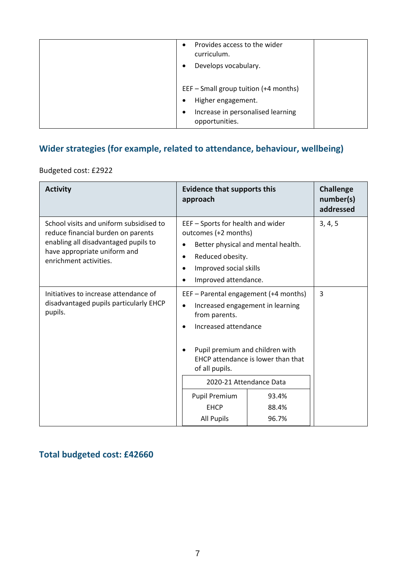| Provides access to the wider<br>$\bullet$<br>curriculum.<br>Develops vocabulary.                                                |
|---------------------------------------------------------------------------------------------------------------------------------|
| EEF - Small group tuition (+4 months)<br>Higher engagement.<br>Increase in personalised learning<br>$\bullet$<br>opportunities. |

## **Wider strategies (for example, related to attendance, behaviour, wellbeing)**

Budgeted cost: £2922

| <b>Activity</b>                                                                                                                                                                 | <b>Evidence that supports this</b><br>approach                                                                                                                                                                |                         | <b>Challenge</b><br>number(s)<br>addressed |
|---------------------------------------------------------------------------------------------------------------------------------------------------------------------------------|---------------------------------------------------------------------------------------------------------------------------------------------------------------------------------------------------------------|-------------------------|--------------------------------------------|
| School visits and uniform subsidised to<br>reduce financial burden on parents<br>enabling all disadvantaged pupils to<br>have appropriate uniform and<br>enrichment activities. | EEF - Sports for health and wider<br>outcomes (+2 months)<br>Better physical and mental health.<br>Reduced obesity.<br>$\bullet$<br>Improved social skills<br>$\bullet$<br>Improved attendance.               |                         | 3, 4, 5                                    |
| Initiatives to increase attendance of<br>disadvantaged pupils particularly EHCP<br>pupils.                                                                                      | EEF - Parental engagement (+4 months)<br>Increased engagement in learning<br>from parents.<br>Increased attendance<br>Pupil premium and children with<br>EHCP attendance is lower than that<br>of all pupils. |                         | 3                                          |
|                                                                                                                                                                                 | 2020-21 Attendance Data<br><b>Pupil Premium</b><br><b>EHCP</b><br><b>All Pupils</b>                                                                                                                           | 93.4%<br>88.4%<br>96.7% |                                            |

## **Total budgeted cost: £42660**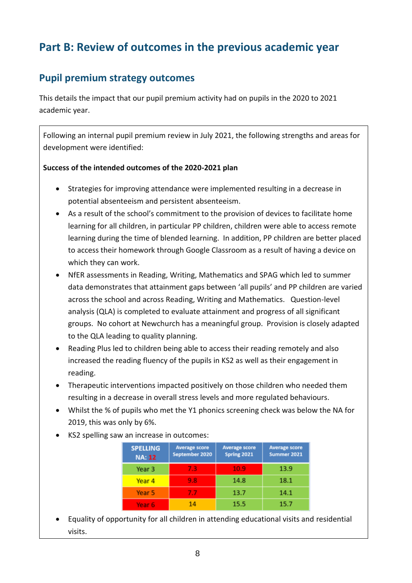# **Part B: Review of outcomes in the previous academic year**

### **Pupil premium strategy outcomes**

This details the impact that our pupil premium activity had on pupils in the 2020 to 2021 academic year.

Following an internal pupil premium review in July 2021, the following strengths and areas for development were identified:

#### **Success of the intended outcomes of the 2020-2021 plan**

- Strategies for improving attendance were implemented resulting in a decrease in potential absenteeism and persistent absenteeism.
- As a result of the school's commitment to the provision of devices to facilitate home learning for all children, in particular PP children, children were able to access remote learning during the time of blended learning. In addition, PP children are better placed to access their homework through Google Classroom as a result of having a device on which they can work.
- NfER assessments in Reading, Writing, Mathematics and SPAG which led to summer data demonstrates that attainment gaps between 'all pupils' and PP children are varied across the school and across Reading, Writing and Mathematics. Question-level analysis (QLA) is completed to evaluate attainment and progress of all significant groups. No cohort at Newchurch has a meaningful group. Provision is closely adapted to the QLA leading to quality planning.
- Reading Plus led to children being able to access their reading remotely and also increased the reading fluency of the pupils in KS2 as well as their engagement in reading.
- Therapeutic interventions impacted positively on those children who needed them resulting in a decrease in overall stress levels and more regulated behaviours.
- Whilst the % of pupils who met the Y1 phonics screening check was below the NA for 2019, this was only by 6%.
- KS2 spelling saw an increase in outcomes:

| <b>SPELLING</b><br><b>NA: 12</b> | <b>Average score</b><br>September 2020 | <b>Average score</b><br><b>Spring 2021</b> | <b>Average score</b><br>Summer 2021 |
|----------------------------------|----------------------------------------|--------------------------------------------|-------------------------------------|
| Year 3                           | 7.3                                    | 10.9                                       | 13.9                                |
| Year 4                           | 9.8                                    | 14.8                                       | 18.1                                |
| Year 5                           | 7.7                                    | 13.7                                       | 14.1                                |
| Year 6                           | 14                                     | 15.5                                       | 15.7                                |

 Equality of opportunity for all children in attending educational visits and residential visits.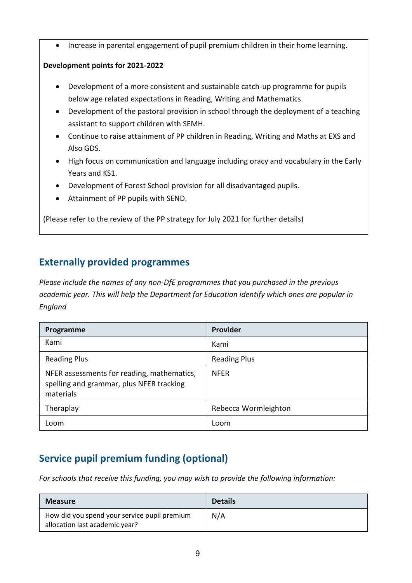• Increase in parental engagement of pupil premium children in their home learning.

#### **Development points for 2021-2022**

- Development of a more consistent and sustainable catch-up programme for pupils below age related expectations in Reading, Writing and Mathematics.
- Development of the pastoral provision in school through the deployment of a teaching assistant to support children with SEMH.
- Continue to raise attainment of PP children in Reading, Writing and Maths at EXS and Also GDS.
- High focus on communication and language including oracy and vocabulary in the Early Years and KS1.
- Development of Forest School provision for all disadvantaged pupils.
- Attainment of PP pupils with SEND.

(Please refer to the review of the PP strategy for July 2021 for further details)

## **Externally provided programmes**

*Please include the names of any non-DfE programmes that you purchased in the previous academic year. This will help the Department for Education identify which ones are popular in England*

| Programme                                                                                           | Provider             |
|-----------------------------------------------------------------------------------------------------|----------------------|
| Kami                                                                                                | Kami                 |
| <b>Reading Plus</b>                                                                                 | <b>Reading Plus</b>  |
| NFER assessments for reading, mathematics,<br>spelling and grammar, plus NFER tracking<br>materials | <b>NFER</b>          |
| Theraplay                                                                                           | Rebecca Wormleighton |
| Loom                                                                                                | Loom                 |

## **Service pupil premium funding (optional)**

*For schools that receive this funding, you may wish to provide the following information:* 

| <b>Measure</b>                                                                 | <b>Details</b> |
|--------------------------------------------------------------------------------|----------------|
| How did you spend your service pupil premium<br>allocation last academic year? | N/A            |